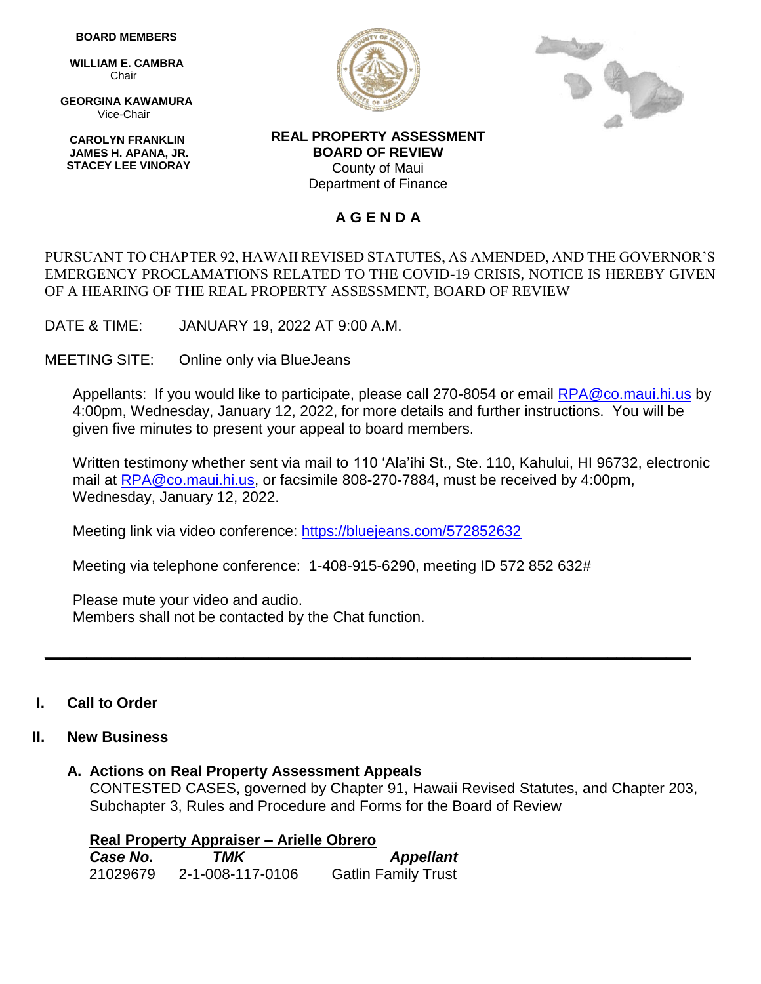#### **BOARD MEMBERS**

 **WILLIAM E. CAMBRA** Chair

 **GEORGINA KAWAMURA** Vice-Chair

 **CAROLYN FRANKLIN JAMES H. APANA, JR. STACEY LEE VINORAY**





**REAL PROPERTY ASSESSMENT BOARD OF REVIEW** County of Maui Department of Finance

## **A G E N D A**

### PURSUANT TO CHAPTER 92, HAWAII REVISED STATUTES, AS AMENDED, AND THE GOVERNOR'S EMERGENCY PROCLAMATIONS RELATED TO THE COVID-19 CRISIS, NOTICE IS HEREBY GIVEN OF A HEARING OF THE REAL PROPERTY ASSESSMENT, BOARD OF REVIEW

DATE & TIME: JANUARY 19, 2022 AT 9:00 A.M.

MEETING SITE: Online only via BlueJeans

Appellants: If you would like to participate, please call 270-8054 or email **RPA@co.maui.hi.us** by 4:00pm, Wednesday, January 12, 2022, for more details and further instructions. You will be given five minutes to present your appeal to board members.

Written testimony whether sent via mail to 110 'Ala'ihi St., Ste. 110, Kahului, HI 96732, electronic mail at [RPA@co.maui.hi.us,](mailto:RPA@co.maui.hi.us) or facsimile 808-270-7884, must be received by 4:00pm, Wednesday, January 12, 2022.

Meeting link via video conference: <https://bluejeans.com/572852632>

Meeting via telephone conference: 1-408-915-6290, meeting ID 572 852 632#

**\_\_\_\_\_\_\_\_\_\_\_\_\_\_\_\_\_\_\_\_\_\_\_\_\_\_\_\_\_\_\_\_\_\_\_\_\_\_\_\_\_\_\_\_\_\_\_\_\_\_\_\_\_\_\_\_\_\_\_\_\_\_\_\_\_\_\_\_\_\_\_\_\_\_\_\_\_\_**

Please mute your video and audio. Members shall not be contacted by the Chat function.

### **I. Call to Order**

### **II. New Business**

### **A. Actions on Real Property Assessment Appeals**

CONTESTED CASES, governed by Chapter 91, Hawaii Revised Statutes, and Chapter 203, Subchapter 3, Rules and Procedure and Forms for the Board of Review

**Real Property Appraiser – Arielle Obrero**  *Case No. TMK Appellant* 21029679 2-1-008-117-0106 Gatlin Family Trust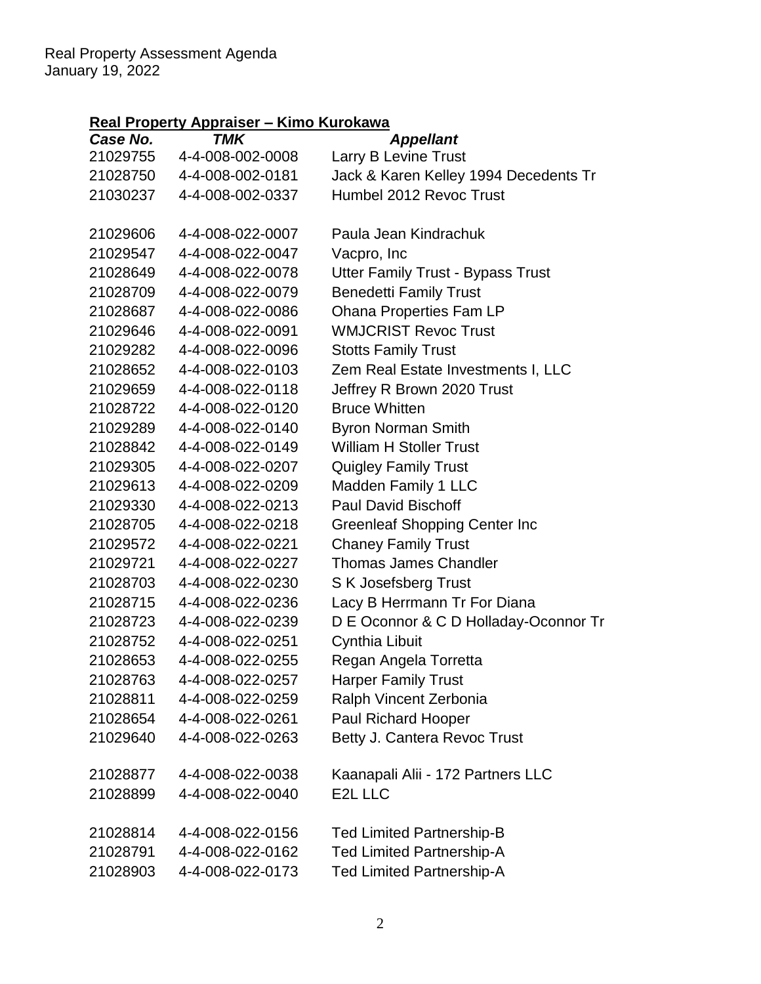# **Real Property Appraiser – Kimo Kurokawa**

| Case No. | <b>TMK</b>       | <b>Appellant</b>                         |
|----------|------------------|------------------------------------------|
| 21029755 | 4-4-008-002-0008 | Larry B Levine Trust                     |
| 21028750 | 4-4-008-002-0181 | Jack & Karen Kelley 1994 Decedents Tr    |
| 21030237 | 4-4-008-002-0337 | Humbel 2012 Revoc Trust                  |
| 21029606 | 4-4-008-022-0007 | Paula Jean Kindrachuk                    |
| 21029547 | 4-4-008-022-0047 | Vacpro, Inc                              |
| 21028649 | 4-4-008-022-0078 | <b>Utter Family Trust - Bypass Trust</b> |
| 21028709 | 4-4-008-022-0079 | <b>Benedetti Family Trust</b>            |
| 21028687 | 4-4-008-022-0086 | Ohana Properties Fam LP                  |
| 21029646 | 4-4-008-022-0091 | <b>WMJCRIST Revoc Trust</b>              |
| 21029282 | 4-4-008-022-0096 | <b>Stotts Family Trust</b>               |
| 21028652 | 4-4-008-022-0103 | Zem Real Estate Investments I, LLC       |
| 21029659 | 4-4-008-022-0118 | Jeffrey R Brown 2020 Trust               |
| 21028722 | 4-4-008-022-0120 | <b>Bruce Whitten</b>                     |
| 21029289 | 4-4-008-022-0140 | <b>Byron Norman Smith</b>                |
| 21028842 | 4-4-008-022-0149 | <b>William H Stoller Trust</b>           |
| 21029305 | 4-4-008-022-0207 | <b>Quigley Family Trust</b>              |
| 21029613 | 4-4-008-022-0209 | Madden Family 1 LLC                      |
| 21029330 | 4-4-008-022-0213 | <b>Paul David Bischoff</b>               |
| 21028705 | 4-4-008-022-0218 | <b>Greenleaf Shopping Center Inc.</b>    |
| 21029572 | 4-4-008-022-0221 | <b>Chaney Family Trust</b>               |
| 21029721 | 4-4-008-022-0227 | <b>Thomas James Chandler</b>             |
| 21028703 | 4-4-008-022-0230 | S K Josefsberg Trust                     |
| 21028715 | 4-4-008-022-0236 | Lacy B Herrmann Tr For Diana             |
| 21028723 | 4-4-008-022-0239 | D E Oconnor & C D Holladay-Oconnor Tr    |
| 21028752 | 4-4-008-022-0251 | Cynthia Libuit                           |
| 21028653 | 4-4-008-022-0255 | Regan Angela Torretta                    |
| 21028763 | 4-4-008-022-0257 | <b>Harper Family Trust</b>               |
| 21028811 | 4-4-008-022-0259 | Ralph Vincent Zerbonia                   |
| 21028654 | 4-4-008-022-0261 | Paul Richard Hooper                      |
| 21029640 | 4-4-008-022-0263 | Betty J. Cantera Revoc Trust             |
| 21028877 | 4-4-008-022-0038 | Kaanapali Alii - 172 Partners LLC        |
| 21028899 | 4-4-008-022-0040 | E2L LLC                                  |
| 21028814 | 4-4-008-022-0156 | <b>Ted Limited Partnership-B</b>         |
| 21028791 | 4-4-008-022-0162 | <b>Ted Limited Partnership-A</b>         |
| 21028903 | 4-4-008-022-0173 | <b>Ted Limited Partnership-A</b>         |